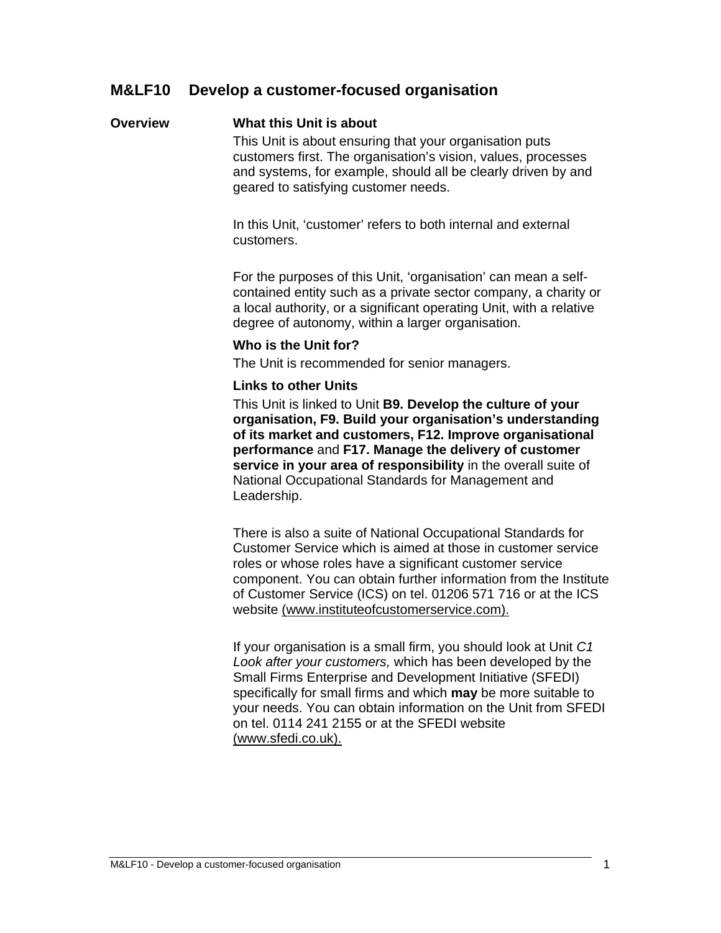#### **Overview What this Unit is about**

This Unit is about ensuring that your organisation puts customers first. The organisation's vision, values, processes and systems, for example, should all be clearly driven by and geared to satisfying customer needs.

In this Unit, 'customer' refers to both internal and external customers.

For the purposes of this Unit, 'organisation' can mean a selfcontained entity such as a private sector company, a charity or a local authority, or a significant operating Unit, with a relative degree of autonomy, within a larger organisation.

#### **Who is the Unit for?**

The Unit is recommended for senior managers.

#### **Links to other Units**

This Unit is linked to Unit **B9. Develop the culture of your organisation, F9. Build your organisation's understanding of its market and customers, F12. Improve organisational performance** and **F17. Manage the delivery of customer service in your area of responsibility** in the overall suite of National Occupational Standards for Management and Leadership.

There is also a suite of National Occupational Standards for Customer Service which is aimed at those in customer service roles or whose roles have a significant customer service component. You can obtain further information from the Institute of Customer Service (ICS) on tel. 01206 571 716 or at the ICS website (www.instituteofcustomerservice.com).

If your organisation is a small firm, you should look at Unit *C1 Look after your customers,* which has been developed by the Small Firms Enterprise and Development Initiative (SFEDI) specifically for small firms and which **may** be more suitable to your needs. You can obtain information on the Unit from SFEDI on tel. 0114 241 2155 or at the SFEDI website (www.sfedi.co.uk).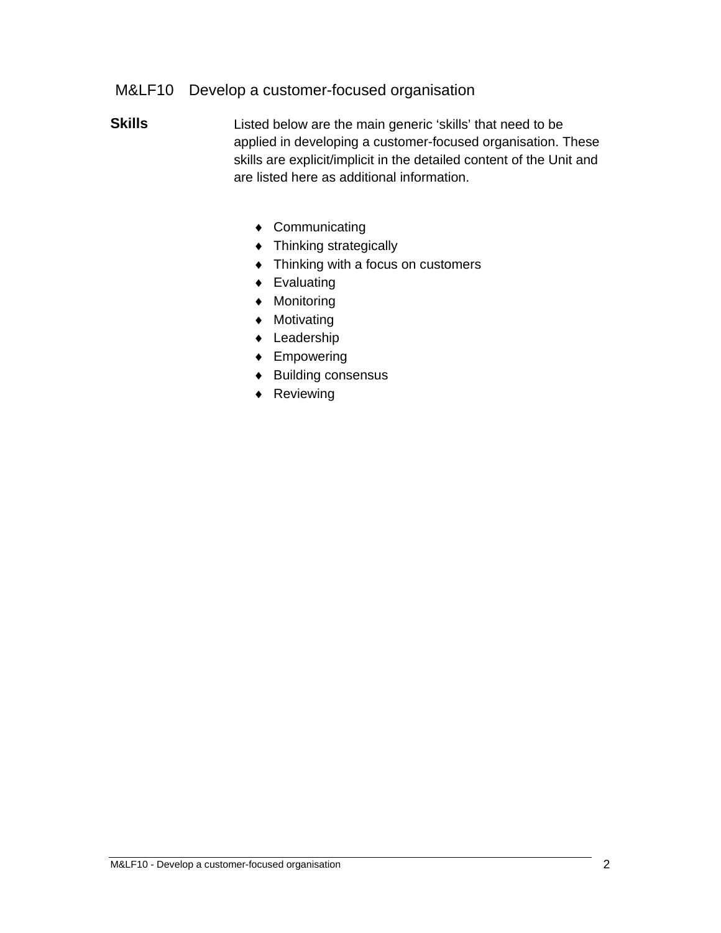- **Skills** Listed below are the main generic 'skills' that need to be applied in developing a customer-focused organisation. These skills are explicit/implicit in the detailed content of the Unit and are listed here as additional information.
	- ◆ Communicating
	- Thinking strategically
	- $\triangleleft$  Thinking with a focus on customers
	- ◆ Evaluating
	- Monitoring
	- Motivating
	- Leadership
	- ◆ Empowering
	- ◆ Building consensus
	- ◆ Reviewing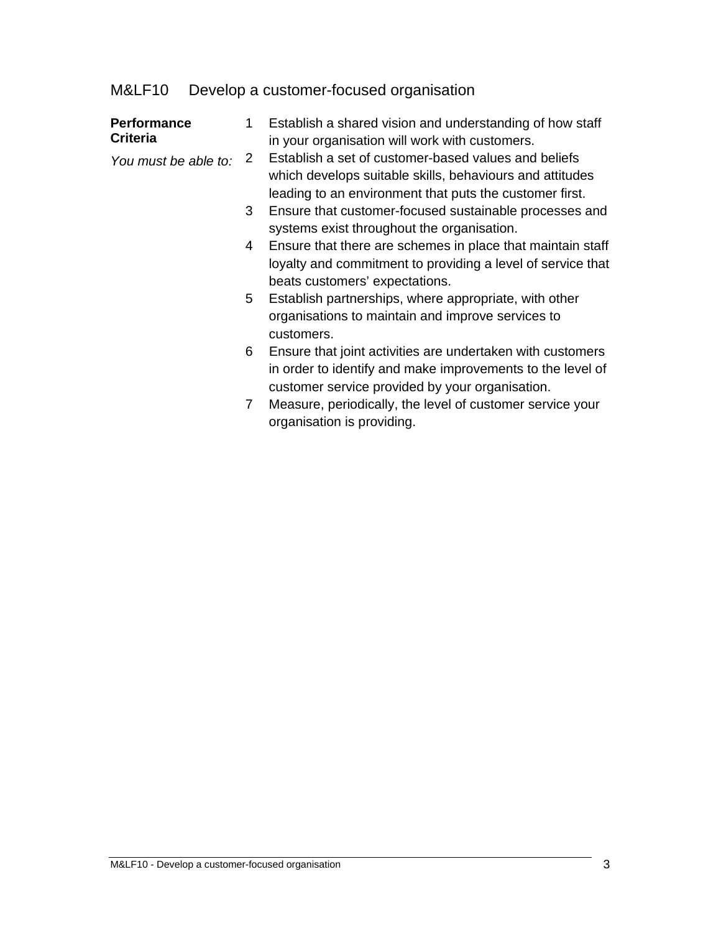| <b>Performance</b><br><b>Criteria</b> | 1. | Establish a shared vision and understanding of how staff<br>in your organisation will work with customers.                                                                  |
|---------------------------------------|----|-----------------------------------------------------------------------------------------------------------------------------------------------------------------------------|
| You must be able to:                  | 2  | Establish a set of customer-based values and beliefs<br>which develops suitable skills, behaviours and attitudes<br>leading to an environment that puts the customer first. |
|                                       | 3  | Ensure that customer-focused sustainable processes and<br>systems exist throughout the organisation.                                                                        |
|                                       |    | 4 Ensure that there are schemes in place that maintain staff<br>loyalty and commitment to providing a level of service that<br>beats customers' expectations.               |
|                                       | 5  | Establish partnerships, where appropriate, with other<br>organisations to maintain and improve services to<br>customers.                                                    |
|                                       |    | Ensure that joint activities are undertaken with customers<br>in order to identify and make improvements to the level of<br>customer service provided by your organisation. |
|                                       | 7  | Measure, periodically, the level of customer service your<br>organisation is providing.                                                                                     |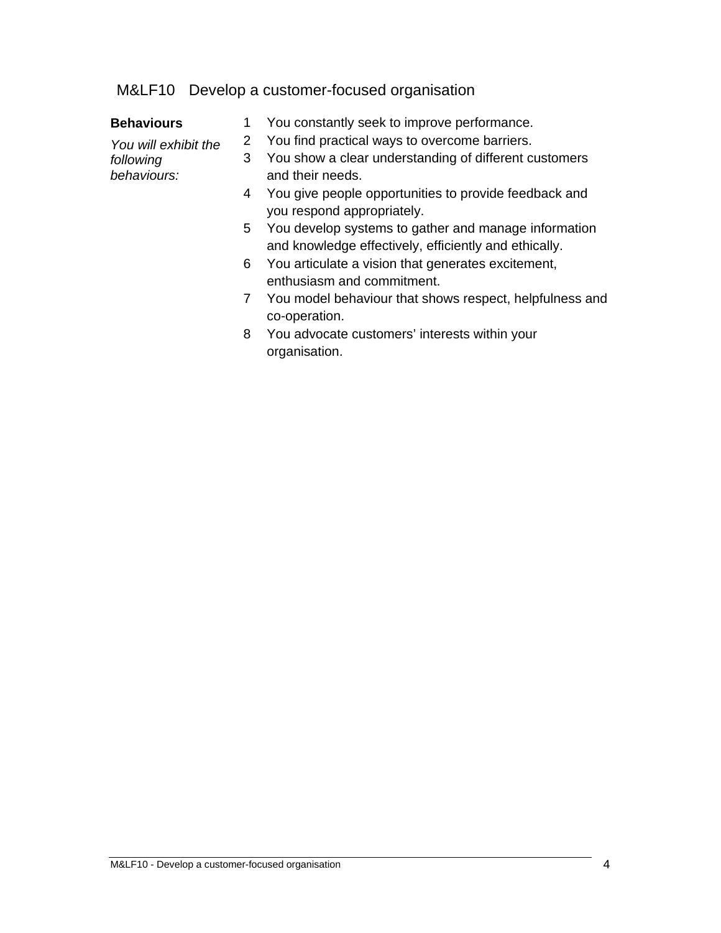| <b>Behaviours</b>        | 1  | You constantly seek to improve performance.                                                                   |
|--------------------------|----|---------------------------------------------------------------------------------------------------------------|
| You will exhibit the     | 2  | You find practical ways to overcome barriers.                                                                 |
| following<br>behaviours: | 3. | You show a clear understanding of different customers<br>and their needs.                                     |
|                          | 4  | You give people opportunities to provide feedback and<br>you respond appropriately.                           |
|                          | 5  | You develop systems to gather and manage information<br>and knowledge effectively, efficiently and ethically. |
|                          |    | 6 You articulate a vision that generates excitement,<br>enthusiasm and commitment.                            |
|                          |    | 7 You model behaviour that shows respect, helpfulness and<br>co-operation.                                    |
|                          | 8  | You advocate customers' interests within your<br>organisation.                                                |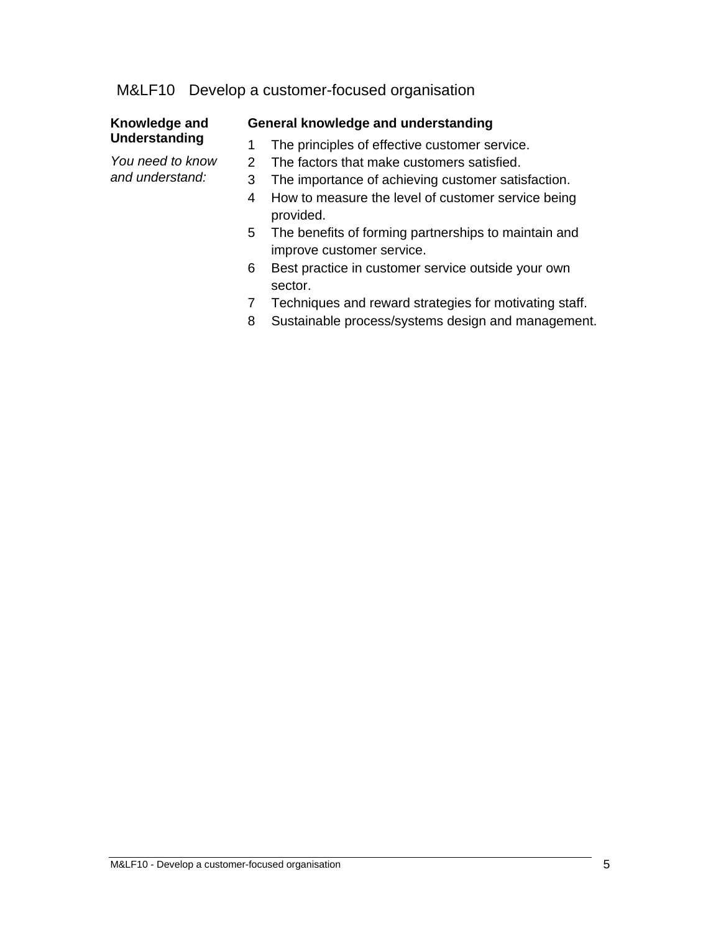#### **Knowledge and Understanding**

*You need to know and understand:* 

#### **General knowledge and understanding**

- 1 The principles of effective customer service.
- 2 The factors that make customers satisfied.
- 3 The importance of achieving customer satisfaction.
- 4 How to measure the level of customer service being provided.
- 5 The benefits of forming partnerships to maintain and improve customer service.
- 6 Best practice in customer service outside your own sector.
- 7 Techniques and reward strategies for motivating staff.
- 8 Sustainable process/systems design and management.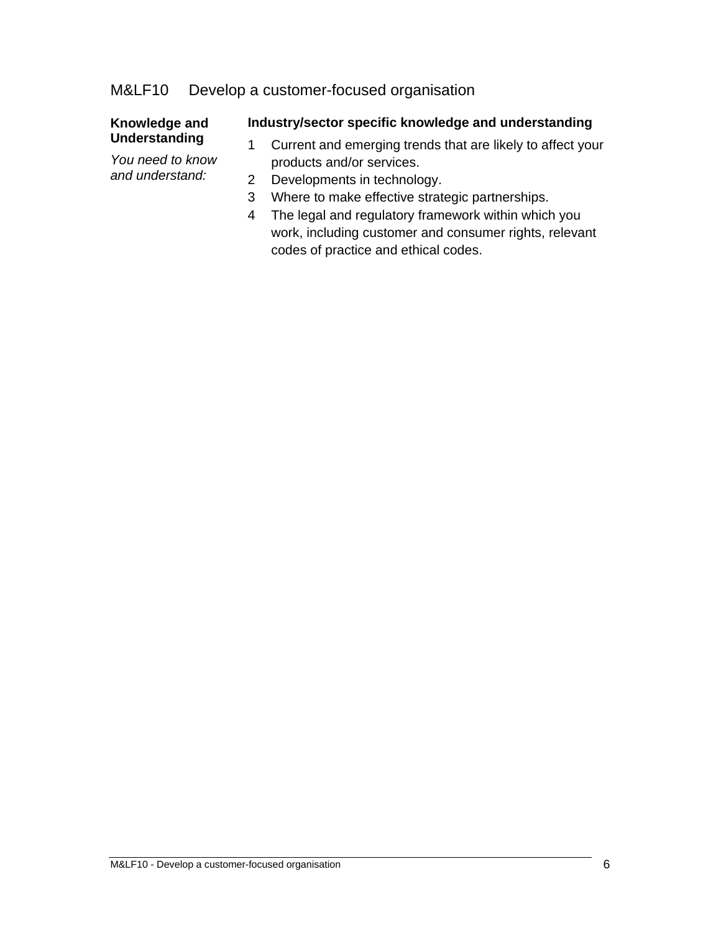#### **Knowledge and Understanding**

*You need to know and understand:* 

#### **Industry/sector specific knowledge and understanding**

- 1 Current and emerging trends that are likely to affect your products and/or services.
- 2 Developments in technology.
- 3 Where to make effective strategic partnerships.
- 4 The legal and regulatory framework within which you work, including customer and consumer rights, relevant codes of practice and ethical codes.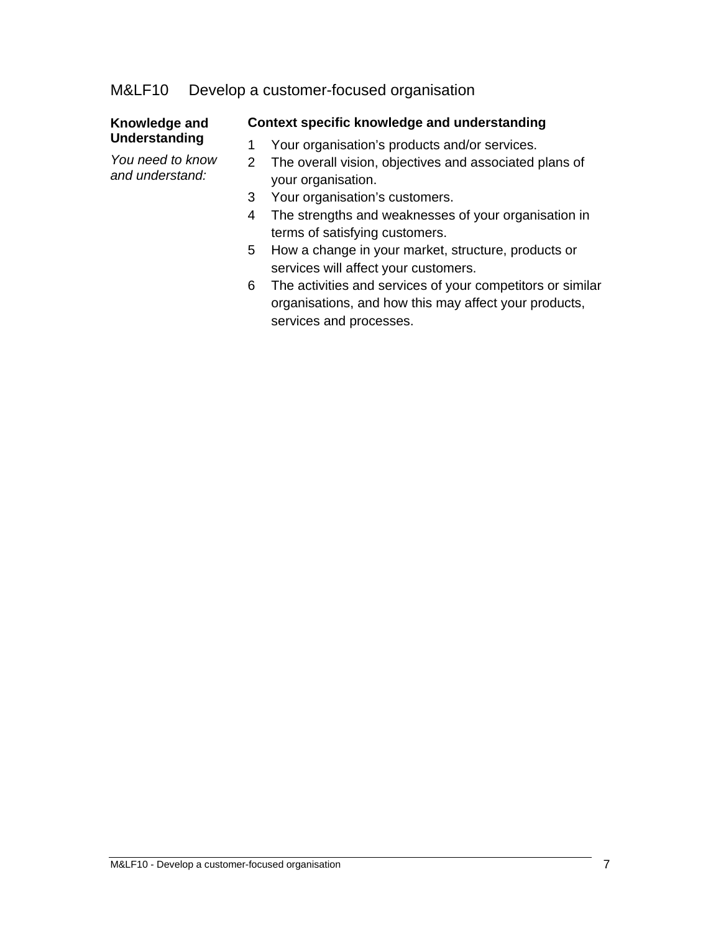#### **Knowledge and Understanding**

*You need to know and understand:* 

### **Context specific knowledge and understanding**

- 1 Your organisation's products and/or services.
- 2 The overall vision, objectives and associated plans of your organisation.
- 3 Your organisation's customers.
- 4 The strengths and weaknesses of your organisation in terms of satisfying customers.
- 5 How a change in your market, structure, products or services will affect your customers.
- 6 The activities and services of your competitors or similar organisations, and how this may affect your products, services and processes.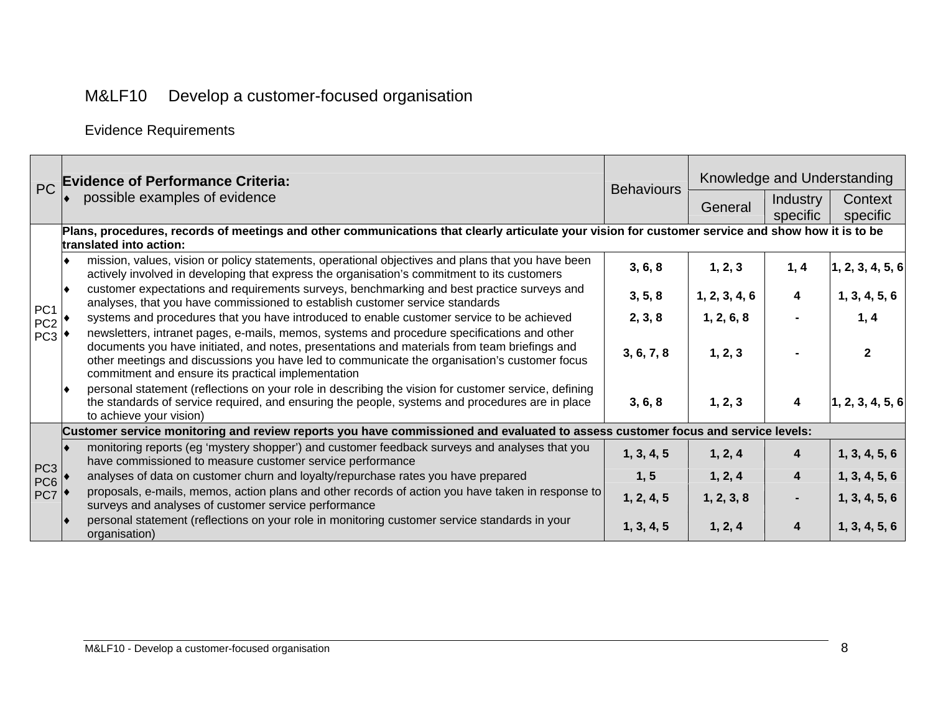Evidence Requirements

| <b>PC</b>                                 | <b>Evidence of Performance Criteria:</b>                                                                                        |                                                                                                                                                                                                                                                                                                                                                   | <b>Behaviours</b> | Knowledge and Understanding |                             |                     |  |  |
|-------------------------------------------|---------------------------------------------------------------------------------------------------------------------------------|---------------------------------------------------------------------------------------------------------------------------------------------------------------------------------------------------------------------------------------------------------------------------------------------------------------------------------------------------|-------------------|-----------------------------|-----------------------------|---------------------|--|--|
|                                           |                                                                                                                                 | possible examples of evidence                                                                                                                                                                                                                                                                                                                     |                   | General                     | <b>Industry</b><br>specific | Context<br>specific |  |  |
|                                           |                                                                                                                                 | Plans, procedures, records of meetings and other communications that clearly articulate your vision for customer service and show how it is to be<br>translated into action:                                                                                                                                                                      |                   |                             |                             |                     |  |  |
| PC <sub>1</sub><br>PC <sub>2</sub><br>PC3 |                                                                                                                                 | mission, values, vision or policy statements, operational objectives and plans that you have been<br>actively involved in developing that express the organisation's commitment to its customers                                                                                                                                                  | 3, 6, 8           | 1, 2, 3                     | 1, 4                        | 1, 2, 3, 4, 5, 6    |  |  |
|                                           |                                                                                                                                 | customer expectations and requirements surveys, benchmarking and best practice surveys and<br>analyses, that you have commissioned to establish customer service standards                                                                                                                                                                        | 3, 5, 8           | 1, 2, 3, 4, 6               | 4                           | 1, 3, 4, 5, 6       |  |  |
|                                           |                                                                                                                                 | systems and procedures that you have introduced to enable customer service to be achieved                                                                                                                                                                                                                                                         | 2, 3, 8           | 1, 2, 6, 8                  |                             | 1, 4                |  |  |
|                                           |                                                                                                                                 | newsletters, intranet pages, e-mails, memos, systems and procedure specifications and other<br>documents you have initiated, and notes, presentations and materials from team briefings and<br>other meetings and discussions you have led to communicate the organisation's customer focus<br>commitment and ensure its practical implementation | 3, 6, 7, 8        | 1, 2, 3                     |                             | $\mathbf{2}$        |  |  |
|                                           |                                                                                                                                 | personal statement (reflections on your role in describing the vision for customer service, defining<br>the standards of service required, and ensuring the people, systems and procedures are in place<br>to achieve your vision)                                                                                                                | 3, 6, 8           | 1, 2, 3                     | $\blacktriangleleft$        | 1, 2, 3, 4, 5, 6    |  |  |
|                                           | Customer service monitoring and review reports you have commissioned and evaluated to assess customer focus and service levels: |                                                                                                                                                                                                                                                                                                                                                   |                   |                             |                             |                     |  |  |
|                                           |                                                                                                                                 | monitoring reports (eg 'mystery shopper') and customer feedback surveys and analyses that you<br>have commissioned to measure customer service performance                                                                                                                                                                                        | 1, 3, 4, 5        | 1, 2, 4                     | 4                           | 1, 3, 4, 5, 6       |  |  |
| PC <sub>3</sub><br>PC <sub>6</sub><br>PC7 |                                                                                                                                 | analyses of data on customer churn and loyalty/repurchase rates you have prepared                                                                                                                                                                                                                                                                 | 1, 5              | 1, 2, 4                     | 4                           | 1, 3, 4, 5, 6       |  |  |
|                                           |                                                                                                                                 | proposals, e-mails, memos, action plans and other records of action you have taken in response to<br>surveys and analyses of customer service performance                                                                                                                                                                                         | 1, 2, 4, 5        | 1, 2, 3, 8                  |                             | 1, 3, 4, 5, 6       |  |  |
|                                           |                                                                                                                                 | personal statement (reflections on your role in monitoring customer service standards in your<br>organisation)                                                                                                                                                                                                                                    | 1, 3, 4, 5        | 1, 2, 4                     | 4                           | 1, 3, 4, 5, 6       |  |  |